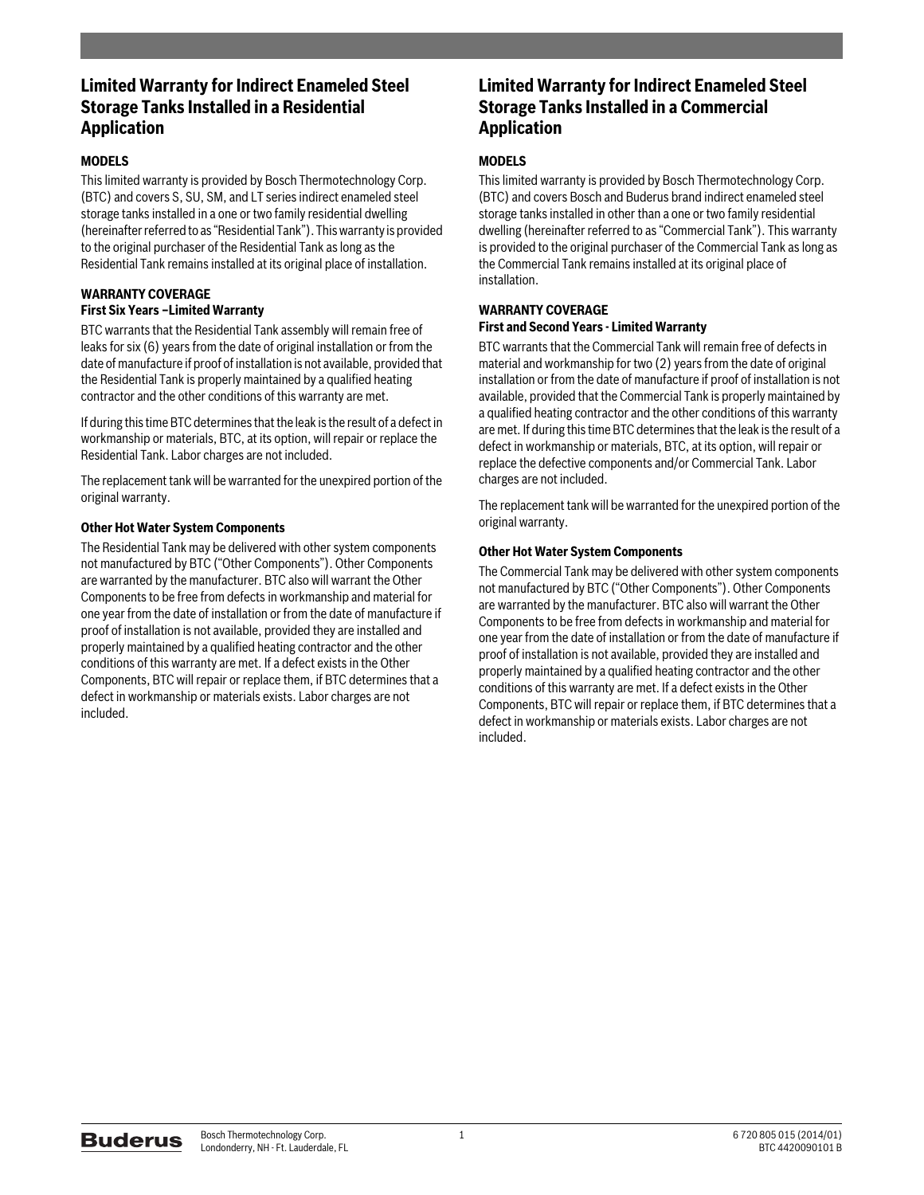# **Limited Warranty for Indirect Enameled Steel Storage Tanks Installed in a Residential Application**

## **MODELS**

This limited warranty is provided by Bosch Thermotechnology Corp. (BTC) and covers S, SU, SM, and LT series indirect enameled steel storage tanks installed in a one or two family residential dwelling (hereinafter referred to as "Residential Tank"). This warranty is provided to the original purchaser of the Residential Tank as long as the Residential Tank remains installed at its original place of installation.

#### **WARRANTY COVERAGE First Six Years –Limited Warranty**

BTC warrants that the Residential Tank assembly will remain free of leaks for six (6) years from the date of original installation or from the date of manufacture if proof of installation is not available, provided that the Residential Tank is properly maintained by a qualified heating contractor and the other conditions of this warranty are met.

If during this time BTC determines that the leak is the result of a defect in workmanship or materials, BTC, at its option, will repair or replace the Residential Tank. Labor charges are not included.

The replacement tank will be warranted for the unexpired portion of the original warranty.

## **Other Hot Water System Components**

The Residential Tank may be delivered with other system components not manufactured by BTC ("Other Components"). Other Components are warranted by the manufacturer. BTC also will warrant the Other Components to be free from defects in workmanship and material for one year from the date of installation or from the date of manufacture if proof of installation is not available, provided they are installed and properly maintained by a qualified heating contractor and the other conditions of this warranty are met. If a defect exists in the Other Components, BTC will repair or replace them, if BTC determines that a defect in workmanship or materials exists. Labor charges are not included.

## **Limited Warranty for Indirect Enameled Steel Storage Tanks Installed in a Commercial Application**

## **MODELS**

This limited warranty is provided by Bosch Thermotechnology Corp. (BTC) and covers Bosch and Buderus brand indirect enameled steel storage tanks installed in other than a one or two family residential dwelling (hereinafter referred to as "Commercial Tank"). This warranty is provided to the original purchaser of the Commercial Tank as long as the Commercial Tank remains installed at its original place of installation.

#### **WARRANTY COVERAGE First and Second Years - Limited Warranty**

BTC warrants that the Commercial Tank will remain free of defects in material and workmanship for two (2) years from the date of original installation or from the date of manufacture if proof of installation is not available, provided that the Commercial Tank is properly maintained by a qualified heating contractor and the other conditions of this warranty are met. If during this time BTC determines that the leak is the result of a defect in workmanship or materials, BTC, at its option, will repair or replace the defective components and/or Commercial Tank. Labor charges are not included.

The replacement tank will be warranted for the unexpired portion of the original warranty.

## **Other Hot Water System Components**

The Commercial Tank may be delivered with other system components not manufactured by BTC ("Other Components"). Other Components are warranted by the manufacturer. BTC also will warrant the Other Components to be free from defects in workmanship and material for one year from the date of installation or from the date of manufacture if proof of installation is not available, provided they are installed and properly maintained by a qualified heating contractor and the other conditions of this warranty are met. If a defect exists in the Other Components, BTC will repair or replace them, if BTC determines that a defect in workmanship or materials exists. Labor charges are not included.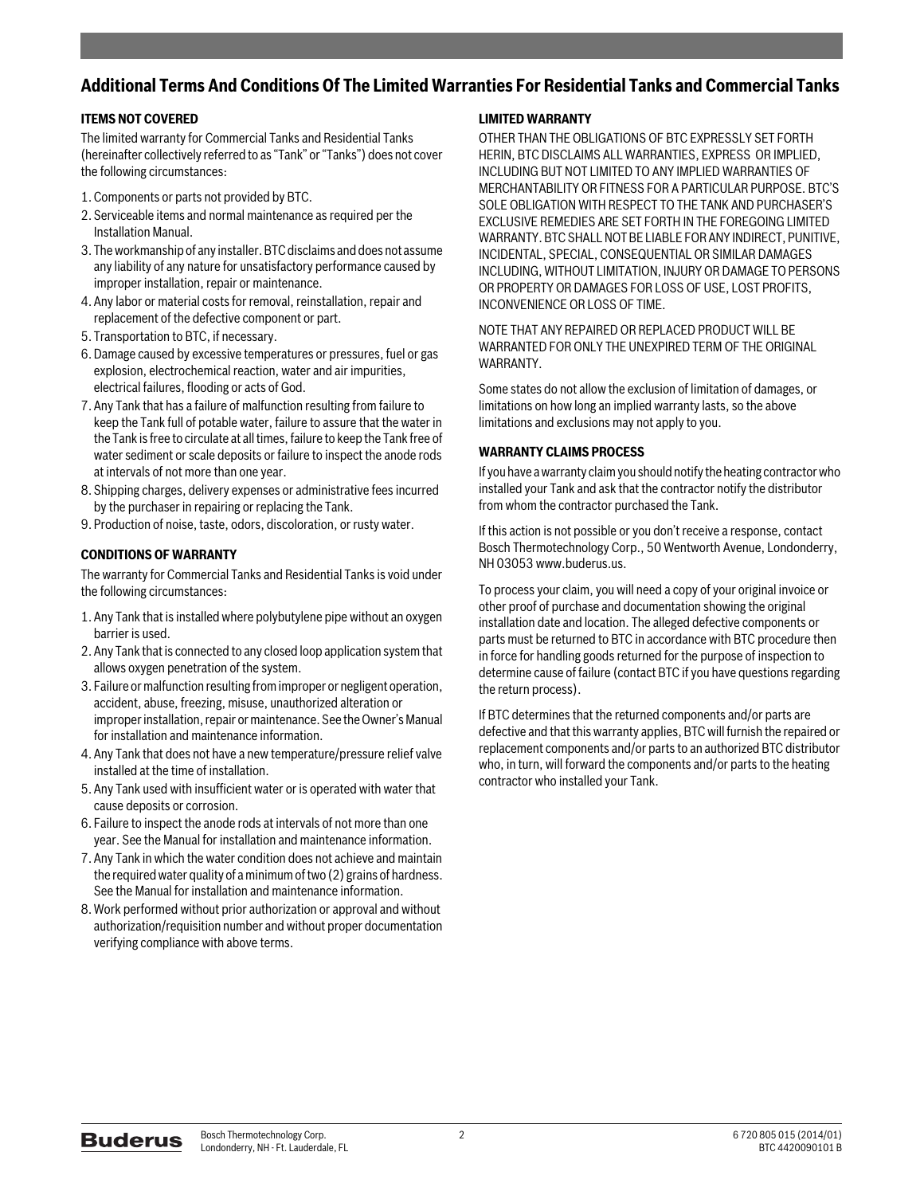# **Additional Terms And Conditions Of The Limited Warranties For Residential Tanks and Commercial Tanks**

## **ITEMS NOT COVERED**

The limited warranty for Commercial Tanks and Residential Tanks (hereinafter collectively referred to as "Tank" or "Tanks") does not cover the following circumstances:

- 1. Components or parts not provided by BTC.
- 2. Serviceable items and normal maintenance as required per the Installation Manual.
- 3. The workmanship of any installer. BTC disclaims and does not assume any liability of any nature for unsatisfactory performance caused by improper installation, repair or maintenance.
- 4. Any labor or material costs for removal, reinstallation, repair and replacement of the defective component or part.
- 5. Transportation to BTC, if necessary.
- 6. Damage caused by excessive temperatures or pressures, fuel or gas explosion, electrochemical reaction, water and air impurities, electrical failures, flooding or acts of God.
- 7. Any Tank that has a failure of malfunction resulting from failure to keep the Tank full of potable water, failure to assure that the water in the Tank is free to circulate at all times, failure to keep the Tank free of water sediment or scale deposits or failure to inspect the anode rods at intervals of not more than one year.
- 8. Shipping charges, delivery expenses or administrative fees incurred by the purchaser in repairing or replacing the Tank.
- 9. Production of noise, taste, odors, discoloration, or rusty water.

## **CONDITIONS OF WARRANTY**

The warranty for Commercial Tanks and Residential Tanks is void under the following circumstances:

- 1. Any Tank that is installed where polybutylene pipe without an oxygen barrier is used.
- 2. Any Tank that is connected to any closed loop application system that allows oxygen penetration of the system.
- 3. Failure or malfunction resulting from improper or negligent operation, accident, abuse, freezing, misuse, unauthorized alteration or improper installation, repair or maintenance. See the Owner's Manual for installation and maintenance information.
- 4. Any Tank that does not have a new temperature/pressure relief valve installed at the time of installation.
- 5. Any Tank used with insufficient water or is operated with water that cause deposits or corrosion.
- 6. Failure to inspect the anode rods at intervals of not more than one year. See the Manual for installation and maintenance information.
- 7. Any Tank in which the water condition does not achieve and maintain the required water quality of a minimum of two (2) grains of hardness. See the Manual for installation and maintenance information.
- 8. Work performed without prior authorization or approval and without authorization/requisition number and without proper documentation verifying compliance with above terms.

## **LIMITED WARRANTY**

OTHER THAN THE OBLIGATIONS OF BTC EXPRESSLY SET FORTH HERIN, BTC DISCLAIMS ALL WARRANTIES, EXPRESS OR IMPLIED, INCLUDING BUT NOT LIMITED TO ANY IMPLIED WARRANTIES OF MERCHANTABILITY OR FITNESS FOR A PARTICULAR PURPOSE. BTC'S SOLE OBLIGATION WITH RESPECT TO THE TANK AND PURCHASER'S EXCLUSIVE REMEDIES ARE SET FORTH IN THE FOREGOING LIMITED WARRANTY. BTC SHALL NOT BE LIABLE FOR ANY INDIRECT, PUNITIVE, INCIDENTAL, SPECIAL, CONSEQUENTIAL OR SIMILAR DAMAGES INCLUDING, WITHOUT LIMITATION, INJURY OR DAMAGE TO PERSONS OR PROPERTY OR DAMAGES FOR LOSS OF USE, LOST PROFITS, INCONVENIENCE OR LOSS OF TIME.

NOTE THAT ANY REPAIRED OR REPLACED PRODUCT WILL BE WARRANTED FOR ONLY THE UNEXPIRED TERM OF THE ORIGINAL WARRANTY.

Some states do not allow the exclusion of limitation of damages, or limitations on how long an implied warranty lasts, so the above limitations and exclusions may not apply to you.

## **WARRANTY CLAIMS PROCESS**

If you have a warranty claim you should notify the heating contractor who installed your Tank and ask that the contractor notify the distributor from whom the contractor purchased the Tank.

If this action is not possible or you don't receive a response, contact Bosch Thermotechnology Corp., 50 Wentworth Avenue, Londonderry, NH 03053 www.buderus.us.

To process your claim, you will need a copy of your original invoice or other proof of purchase and documentation showing the original installation date and location. The alleged defective components or parts must be returned to BTC in accordance with BTC procedure then in force for handling goods returned for the purpose of inspection to determine cause of failure (contact BTC if you have questions regarding the return process).

If BTC determines that the returned components and/or parts are defective and that this warranty applies, BTC will furnish the repaired or replacement components and/or parts to an authorized BTC distributor who, in turn, will forward the components and/or parts to the heating contractor who installed your Tank.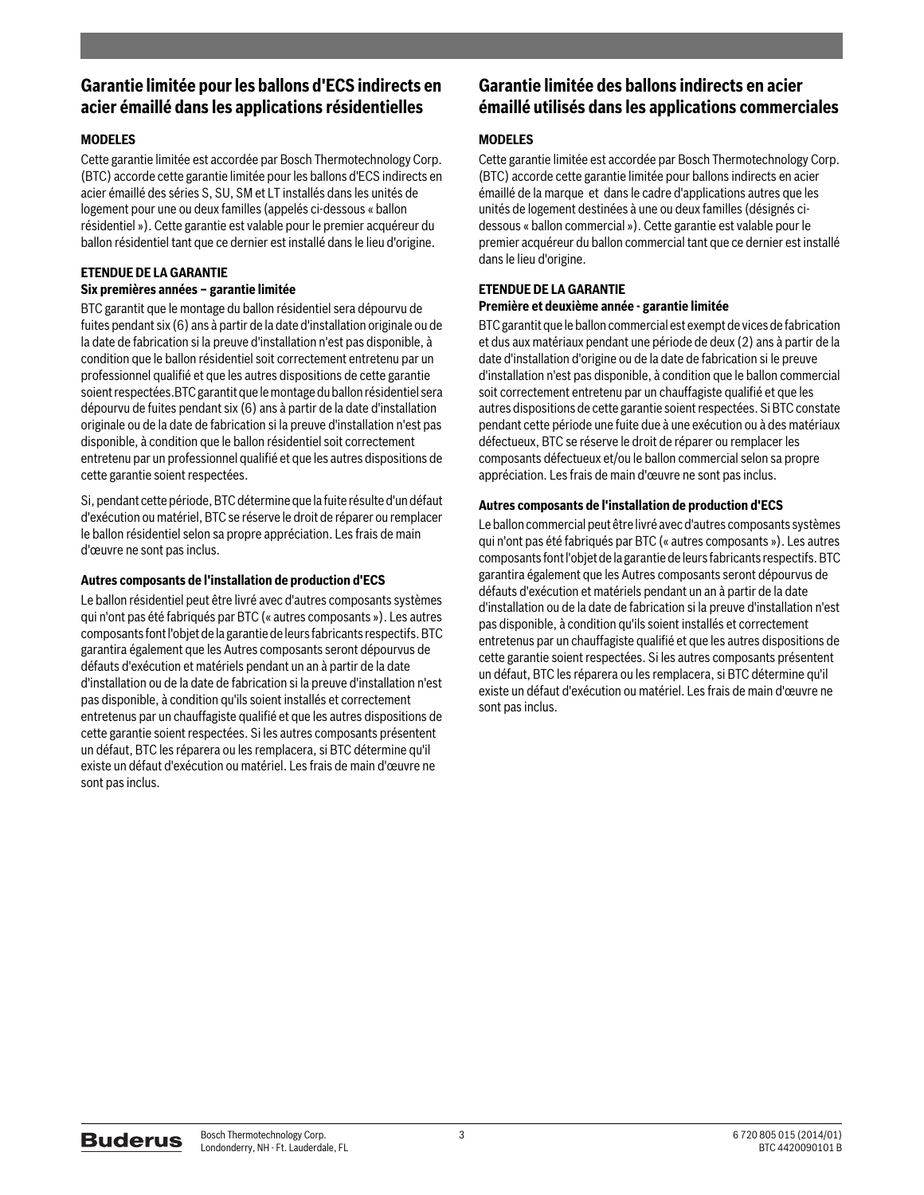# **Garantie limitée pour les ballons d'ECS indirects en acier émaillé dans les applications résidentielles**

## **MODELES**

Cette garantie limitée est accordée par Bosch Thermotechnology Corp. (BTC) accorde cette garantie limitée pour les ballons d'ECS indirects en acier émaillé des séries S, SU, SM et LT installés dans les unités de logement pour une ou deux familles (appelés ci-dessous « ballon résidentiel »). Cette garantie est valable pour le premier acquéreur du ballon résidentiel tant que ce dernier est installé dans le lieu d'origine.

#### **ETENDUE DE LA GARANTIE Six premières années – garantie limitée**

BTC garantit que le montage du ballon résidentiel sera dépourvu de fuites pendant six (6) ans à partir de la date d'installation originale ou de la date de fabrication si la preuve d'installation n'est pas disponible, à condition que le ballon résidentiel soit correctement entretenu par un professionnel qualifié et que les autres dispositions de cette garantie soient respectées.BTC garantit que le montage du ballon résidentiel sera dépourvu de fuites pendant six (6) ans à partir de la date d'installation originale ou de la date de fabrication si la preuve d'installation n'est pas disponible, à condition que le ballon résidentiel soit correctement entretenu par un professionnel qualifié et que les autres dispositions de cette garantie soient respectées.

Si, pendant cette période, BTC détermine que la fuite résulte d'un défaut d'exécution ou matériel, BTC se réserve le droit de réparer ou remplacer le ballon résidentiel selon sa propre appréciation. Les frais de main d'œuvre ne sont pas inclus.

## **Autres composants de l'installation de production d'ECS**

Le ballon résidentiel peut être livré avec d'autres composants systèmes qui n'ont pas été fabriqués par BTC (« autres composants »). Les autres composants font l'objet de la garantie de leurs fabricants respectifs. BTC garantira également que les Autres composants seront dépourvus de défauts d'exécution et matériels pendant un an à partir de la date d'installation ou de la date de fabrication si la preuve d'installation n'est pas disponible, à condition qu'ils soient installés et correctement entretenus par un chauffagiste qualifié et que les autres dispositions de cette garantie soient respectées. Si les autres composants présentent un défaut, BTC les réparera ou les remplacera, si BTC détermine qu'il existe un défaut d'exécution ou matériel. Les frais de main d'œuvre ne sont pas inclus.

# **Garantie limitée des ballons indirects en acier émaillé utilisés dans les applications commerciales**

## **MODELES**

Cette garantie limitée est accordée par Bosch Thermotechnology Corp. (BTC) accorde cette garantie limitée pour ballons indirects en acier émaillé de la marque et dans le cadre d'applications autres que les unités de logement destinées à une ou deux familles (désignés cidessous « ballon commercial »). Cette garantie est valable pour le premier acquéreur du ballon commercial tant que ce dernier est installé dans le lieu d'origine.

# **ETENDUE DE LA GARANTIE**

## **Première et deuxième année - garantie limitée**

BTC garantit que le ballon commercial est exempt de vices de fabrication et dus aux matériaux pendant une période de deux (2) ans à partir de la date d'installation d'origine ou de la date de fabrication si le preuve d'installation n'est pas disponible, à condition que le ballon commercial soit correctement entretenu par un chauffagiste qualifié et que les autres dispositions de cette garantie soient respectées. Si BTC constate pendant cette période une fuite due à une exécution ou à des matériaux défectueux, BTC se réserve le droit de réparer ou remplacer les composants défectueux et/ou le ballon commercial selon sa propre appréciation. Les frais de main d'œuvre ne sont pas inclus.

## **Autres composants de l'installation de production d'ECS**

Le ballon commercial peut être livré avec d'autres composants systèmes qui n'ont pas été fabriqués par BTC (« autres composants »). Les autres composants font l'objet de la garantie de leurs fabricants respectifs. BTC garantira également que les Autres composants seront dépourvus de défauts d'exécution et matériels pendant un an à partir de la date d'installation ou de la date de fabrication si la preuve d'installation n'est pas disponible, à condition qu'ils soient installés et correctement entretenus par un chauffagiste qualifié et que les autres dispositions de cette garantie soient respectées. Si les autres composants présentent un défaut, BTC les réparera ou les remplacera, si BTC détermine qu'il existe un défaut d'exécution ou matériel. Les frais de main d'œuvre ne sont pas inclus.